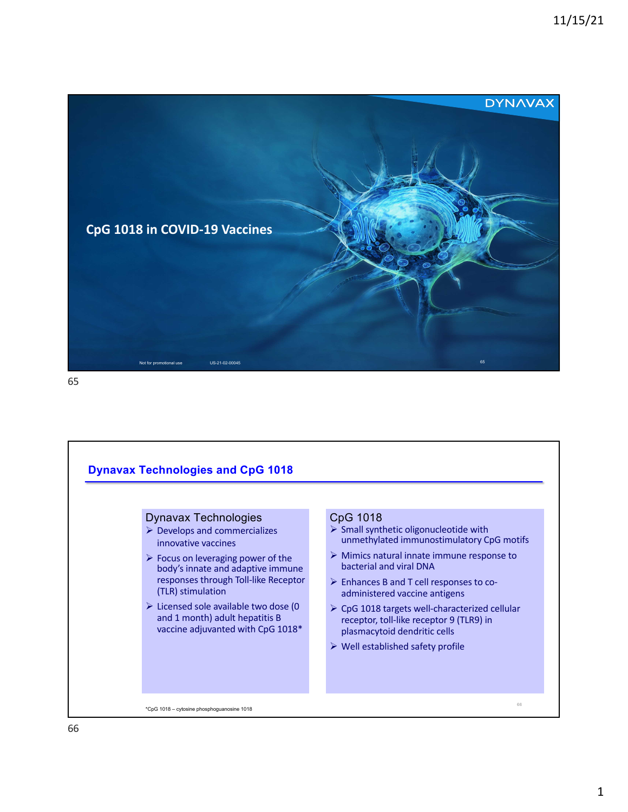

65